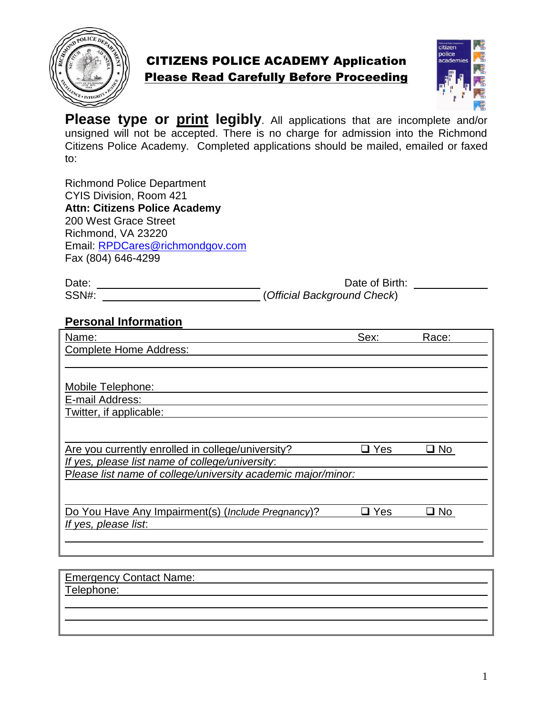

## CITIZENS POLICE ACADEMY Application Please Read Carefully Before Proceeding



**Please type or print legibly**. All applications that are incomplete and/or unsigned will not be accepted. There is no charge for admission into the Richmond Citizens Police Academy. Completed applications should be mailed, emailed or faxed to:

Richmond Police Department CYIS Division, Room 421 **Attn: Citizens Police Academy** 200 West Grace Street Richmond, VA 23220 Email: [RPDCares@richmondgov.com](mailto:RPDCares@richmondgov.com) Fax (804) 646-4299

| Date: | Date of Birth:              |  |
|-------|-----------------------------|--|
| SSN#: | (Official Background Check) |  |

## **Personal Information**

| Name:                                                        | Sex:          | Race: |  |
|--------------------------------------------------------------|---------------|-------|--|
| <b>Complete Home Address:</b>                                |               |       |  |
|                                                              |               |       |  |
|                                                              |               |       |  |
| Mobile Telephone:                                            |               |       |  |
| E-mail Address:                                              |               |       |  |
| Twitter, if applicable:                                      |               |       |  |
|                                                              |               |       |  |
|                                                              |               |       |  |
| Are you currently enrolled in college/university?            | $\square$ Yes | ⊒ No  |  |
| If yes, please list name of college/university:              |               |       |  |
| Please list name of college/university academic major/minor: |               |       |  |
|                                                              |               |       |  |
|                                                              |               |       |  |
| Do You Have Any Impairment(s) (Include Pregnancy)?           | ⊒ Yes         | ⊒ No  |  |
| If yes, please list.                                         |               |       |  |
|                                                              |               |       |  |
|                                                              |               |       |  |
|                                                              |               |       |  |

| <b>Emergency Contact Name:</b> |  |
|--------------------------------|--|
| Telephone:                     |  |
|                                |  |
|                                |  |
|                                |  |